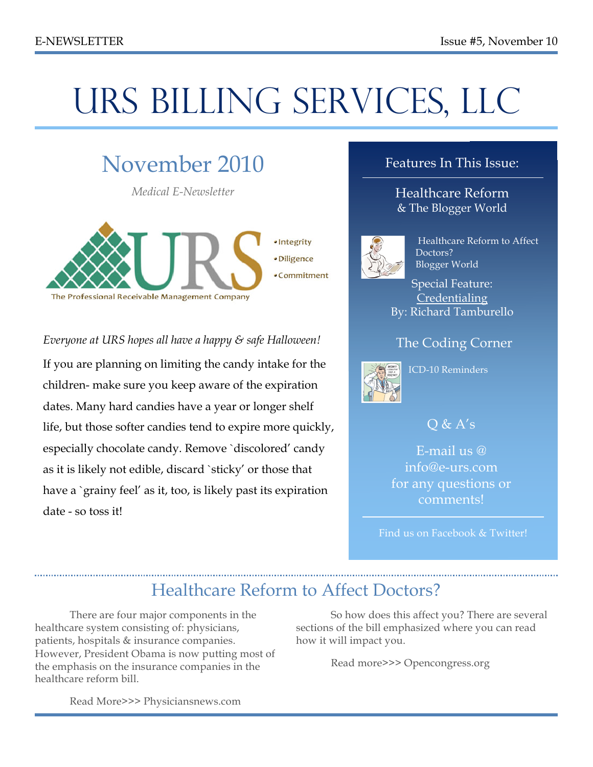# URS BILLING SERVICES, LLC

## November 2010

*Medical E-Newsletter*



*Everyone at URS hopes all have a happy & safe Halloween!* If you are planning on limiting the candy intake for the children- make sure you keep aware of the expiration dates. Many hard candies have a year or longer shelf life, but those softer candies tend to expire more quickly, especially chocolate candy. Remove `discolored' candy as it is likely not edible, discard `sticky' or those that have a `grainy feel' as it, too, is likely past its expiration date - so toss it!

#### Features In This Issue:

Healthcare Reform & The Blogger World



 Healthcare Reform to Affect Doctors? Blogger World

Special Feature: **Credentialing** By: Richard Tamburello

#### The Coding Corner



ICD-10 Reminders

#### $\overline{O}$  &  $A's$

E-mail us @ info@e-urs.com for any questions or comments!

Find us on Facebook & Twitter!

## Healthcare Reform to Affect Doctors?

There are four major components in the healthcare system consisting of: physicians, patients, hospitals & insurance companies. However, President Obama is now putting most of the emphasis on the insurance companies in the healthcare reform bill.

So how does this affect you? There are several sections of the bill emphasized where you can read how it will impact you.

Read more>>> Opencongress.org

Read More>>> Physiciansnews.com